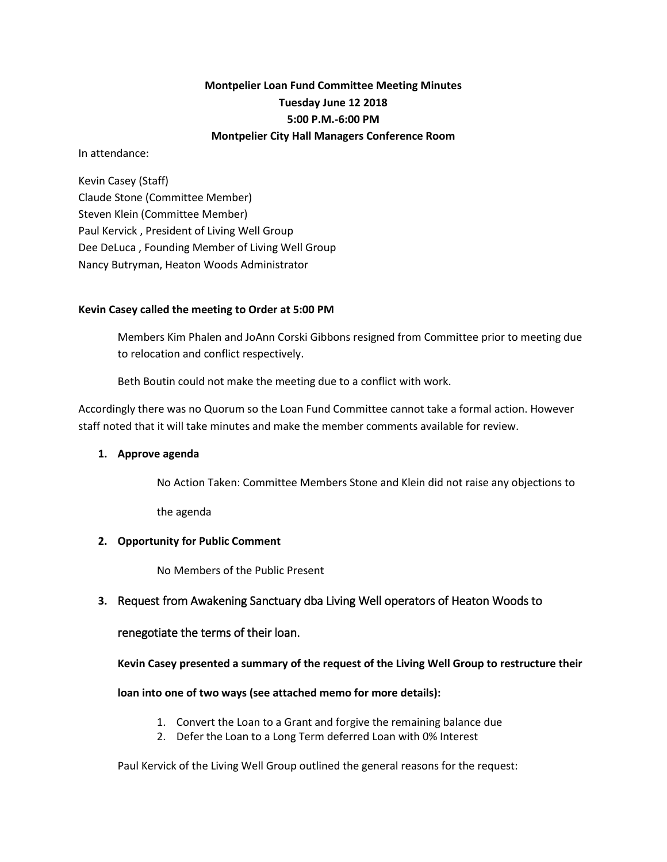# **Montpelier Loan Fund Committee Meeting Minutes Tuesday June 12 2018 5:00 P.M.-6:00 PM Montpelier City Hall Managers Conference Room**

In attendance:

Kevin Casey (Staff) Claude Stone (Committee Member) Steven Klein (Committee Member) Paul Kervick , President of Living Well Group Dee DeLuca , Founding Member of Living Well Group Nancy Butryman, Heaton Woods Administrator

#### **Kevin Casey called the meeting to Order at 5:00 PM**

Members Kim Phalen and JoAnn Corski Gibbons resigned from Committee prior to meeting due to relocation and conflict respectively.

Beth Boutin could not make the meeting due to a conflict with work.

Accordingly there was no Quorum so the Loan Fund Committee cannot take a formal action. However staff noted that it will take minutes and make the member comments available for review.

#### **1. Approve agenda**

No Action Taken: Committee Members Stone and Klein did not raise any objections to

the agenda

#### **2. Opportunity for Public Comment**

No Members of the Public Present

## **3.** Request from Awakening Sanctuary dba Living Well operators of Heaton Woods to

#### renegotiate the terms of their loan.

#### **Kevin Casey presented a summary of the request of the Living Well Group to restructure their**

#### **loan into one of two ways (see attached memo for more details):**

- 1. Convert the Loan to a Grant and forgive the remaining balance due
- 2. Defer the Loan to a Long Term deferred Loan with 0% Interest

Paul Kervick of the Living Well Group outlined the general reasons for the request: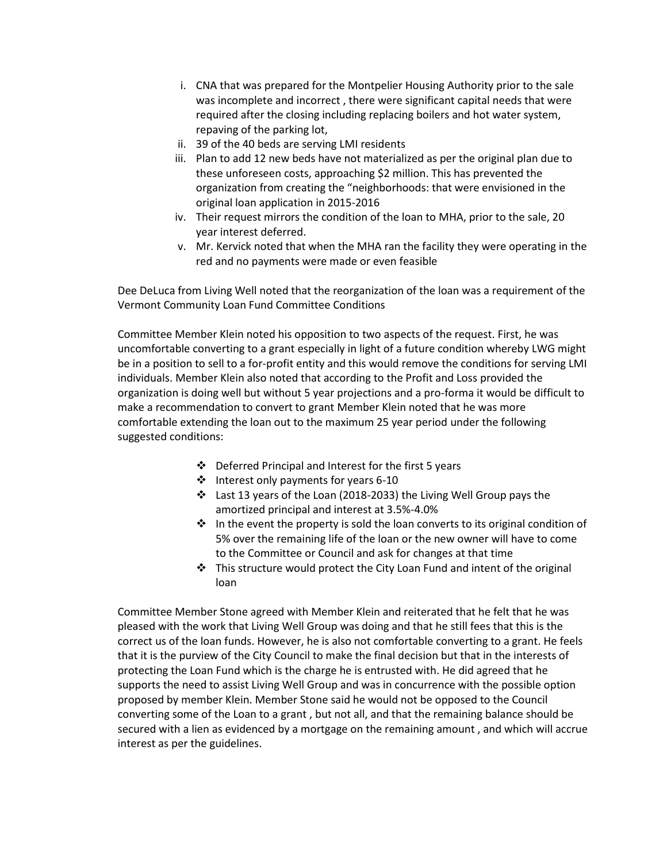- i. CNA that was prepared for the Montpelier Housing Authority prior to the sale was incomplete and incorrect , there were significant capital needs that were required after the closing including replacing boilers and hot water system, repaving of the parking lot,
- ii. 39 of the 40 beds are serving LMI residents
- iii. Plan to add 12 new beds have not materialized as per the original plan due to these unforeseen costs, approaching \$2 million. This has prevented the organization from creating the "neighborhoods: that were envisioned in the original loan application in 2015-2016
- iv. Their request mirrors the condition of the loan to MHA, prior to the sale, 20 year interest deferred.
- v. Mr. Kervick noted that when the MHA ran the facility they were operating in the red and no payments were made or even feasible

Dee DeLuca from Living Well noted that the reorganization of the loan was a requirement of the Vermont Community Loan Fund Committee Conditions

Committee Member Klein noted his opposition to two aspects of the request. First, he was uncomfortable converting to a grant especially in light of a future condition whereby LWG might be in a position to sell to a for-profit entity and this would remove the conditions for serving LMI individuals. Member Klein also noted that according to the Profit and Loss provided the organization is doing well but without 5 year projections and a pro-forma it would be difficult to make a recommendation to convert to grant Member Klein noted that he was more comfortable extending the loan out to the maximum 25 year period under the following suggested conditions:

- Deferred Principal and Interest for the first 5 years
- $\cdot$  Interest only payments for years 6-10
- Last 13 years of the Loan (2018-2033) the Living Well Group pays the amortized principal and interest at 3.5%-4.0%
- $\cdot$  In the event the property is sold the loan converts to its original condition of 5% over the remaining life of the loan or the new owner will have to come to the Committee or Council and ask for changes at that time
- $\cdot \cdot$  This structure would protect the City Loan Fund and intent of the original loan

Committee Member Stone agreed with Member Klein and reiterated that he felt that he was pleased with the work that Living Well Group was doing and that he still fees that this is the correct us of the loan funds. However, he is also not comfortable converting to a grant. He feels that it is the purview of the City Council to make the final decision but that in the interests of protecting the Loan Fund which is the charge he is entrusted with. He did agreed that he supports the need to assist Living Well Group and was in concurrence with the possible option proposed by member Klein. Member Stone said he would not be opposed to the Council converting some of the Loan to a grant , but not all, and that the remaining balance should be secured with a lien as evidenced by a mortgage on the remaining amount , and which will accrue interest as per the guidelines.